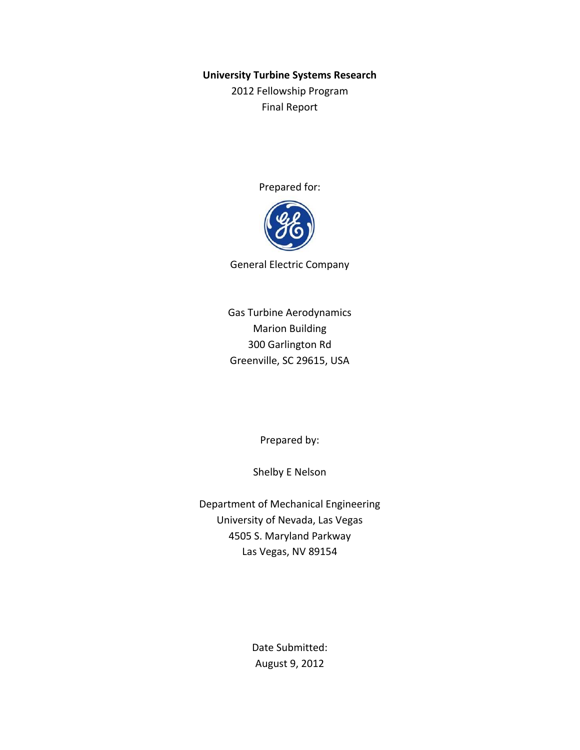#### **University Turbine Systems Research**

2012 Fellowship Program Final Report

Prepared for:



General Electric Company

Gas Turbine Aerodynamics Marion Building 300 Garlington Rd Greenville, SC 29615, USA

Prepared by:

Shelby E Nelson

Department of Mechanical Engineering University of Nevada, Las Vegas 4505 S. Maryland Parkway Las Vegas, NV 89154

> Date Submitted: August 9, 2012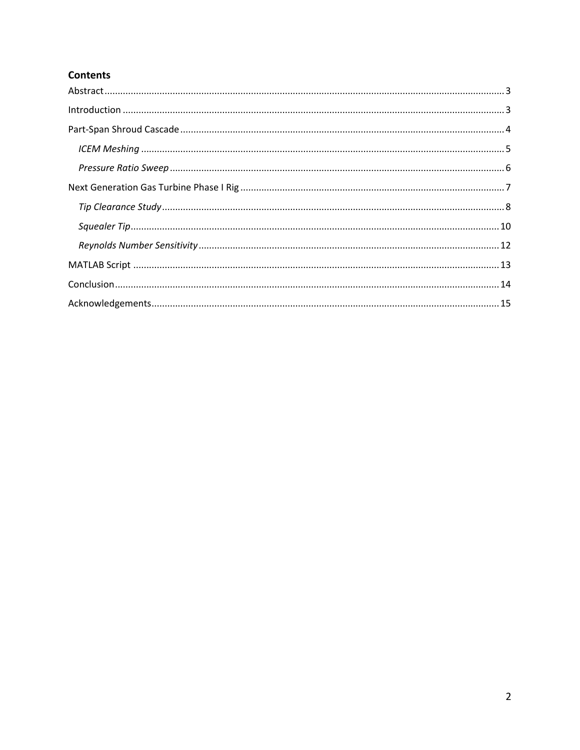# **Contents**

| $\label{lem:1} \mbox{Introduction} \,\, \ldots \,\, \ldots \,\, \ldots \,\, \ldots \,\, \ldots \,\, \ldots \,\, \ldots \,\, \ldots \,\, \ldots \,\, \ldots \,\, \ldots \,\, \ldots \,\, \ldots \,\, \ldots \,\, \ldots \,\, \ldots \,\, \ldots \,\, \ldots \,\, \ldots \,\, \ldots \,\, \ldots \,\, \ldots \,\, \ldots \,\, \ldots \,\, \ldots \,\, \ldots \,\, \ldots \,\, \ldots \,\, \ldots \,\, \ldots \,\, \ldots \,\, \ldots \,\, \ldots \,\, \ldots \,\,$ |  |
|------------------------------------------------------------------------------------------------------------------------------------------------------------------------------------------------------------------------------------------------------------------------------------------------------------------------------------------------------------------------------------------------------------------------------------------------------------------|--|
|                                                                                                                                                                                                                                                                                                                                                                                                                                                                  |  |
|                                                                                                                                                                                                                                                                                                                                                                                                                                                                  |  |
|                                                                                                                                                                                                                                                                                                                                                                                                                                                                  |  |
|                                                                                                                                                                                                                                                                                                                                                                                                                                                                  |  |
|                                                                                                                                                                                                                                                                                                                                                                                                                                                                  |  |
|                                                                                                                                                                                                                                                                                                                                                                                                                                                                  |  |
|                                                                                                                                                                                                                                                                                                                                                                                                                                                                  |  |
|                                                                                                                                                                                                                                                                                                                                                                                                                                                                  |  |
|                                                                                                                                                                                                                                                                                                                                                                                                                                                                  |  |
|                                                                                                                                                                                                                                                                                                                                                                                                                                                                  |  |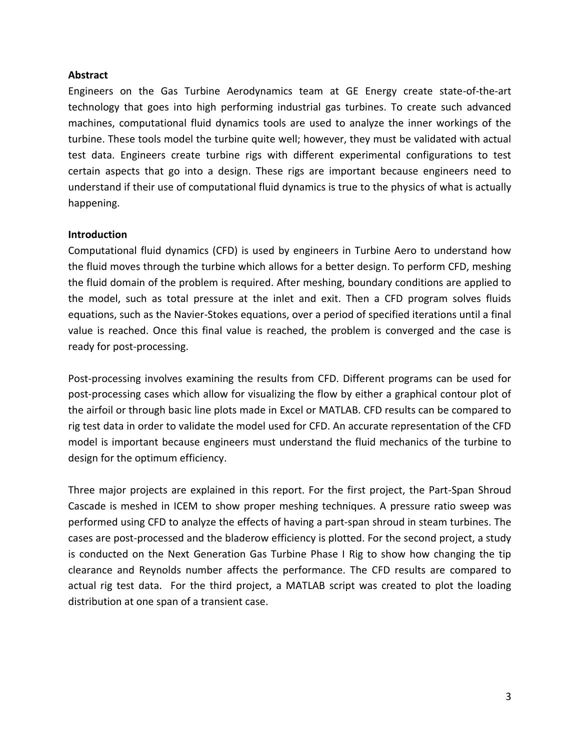## <span id="page-2-0"></span>**Abstract**

Engineers on the Gas Turbine Aerodynamics team at GE Energy create state-of-the-art technology that goes into high performing industrial gas turbines. To create such advanced machines, computational fluid dynamics tools are used to analyze the inner workings of the turbine. These tools model the turbine quite well; however, they must be validated with actual test data. Engineers create turbine rigs with different experimental configurations to test certain aspects that go into a design. These rigs are important because engineers need to understand if their use of computational fluid dynamics is true to the physics of what is actually happening.

#### <span id="page-2-1"></span>**Introduction**

Computational fluid dynamics (CFD) is used by engineers in Turbine Aero to understand how the fluid moves through the turbine which allows for a better design. To perform CFD, meshing the fluid domain of the problem is required. After meshing, boundary conditions are applied to the model, such as total pressure at the inlet and exit. Then a CFD program solves fluids equations, such as the Navier-Stokes equations, over a period of specified iterations until a final value is reached. Once this final value is reached, the problem is converged and the case is ready for post-processing.

Post-processing involves examining the results from CFD. Different programs can be used for post-processing cases which allow for visualizing the flow by either a graphical contour plot of the airfoil or through basic line plots made in Excel or MATLAB. CFD results can be compared to rig test data in order to validate the model used for CFD. An accurate representation of the CFD model is important because engineers must understand the fluid mechanics of the turbine to design for the optimum efficiency.

Three major projects are explained in this report. For the first project, the Part-Span Shroud Cascade is meshed in ICEM to show proper meshing techniques. A pressure ratio sweep was performed using CFD to analyze the effects of having a part-span shroud in steam turbines. The cases are post-processed and the bladerow efficiency is plotted. For the second project, a study is conducted on the Next Generation Gas Turbine Phase I Rig to show how changing the tip clearance and Reynolds number affects the performance. The CFD results are compared to actual rig test data. For the third project, a MATLAB script was created to plot the loading distribution at one span of a transient case.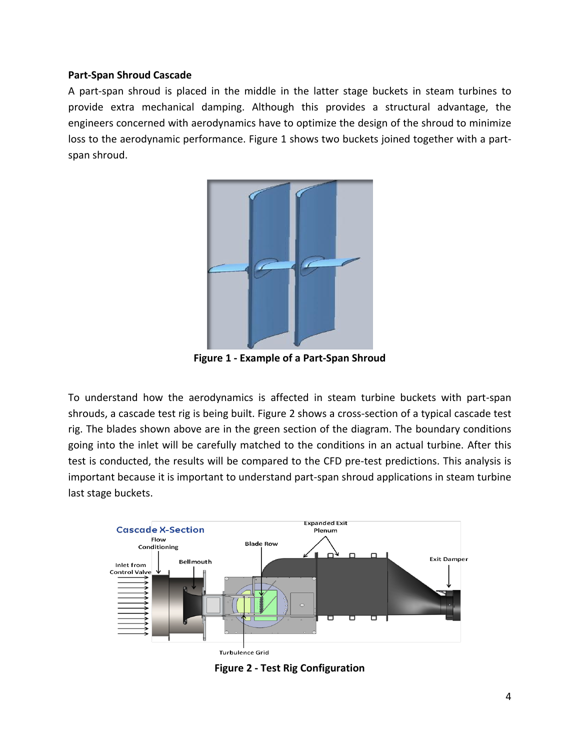#### <span id="page-3-0"></span>**Part-Span Shroud Cascade**

A part-span shroud is placed in the middle in the latter stage buckets in steam turbines to provide extra mechanical damping. Although this provides a structural advantage, the engineers concerned with aerodynamics have to optimize the design of the shroud to minimize loss to the aerodynamic performance. Figure 1 shows two buckets joined together with a partspan shroud.



**Figure 1 - Example of a Part-Span Shroud**

To understand how the aerodynamics is affected in steam turbine buckets with part-span shrouds, a cascade test rig is being built. Figure 2 shows a cross-section of a typical cascade test rig. The blades shown above are in the green section of the diagram. The boundary conditions going into the inlet will be carefully matched to the conditions in an actual turbine. After this test is conducted, the results will be compared to the CFD pre-test predictions. This analysis is important because it is important to understand part-span shroud applications in steam turbine last stage buckets.



**Figure 2 - Test Rig Configuration**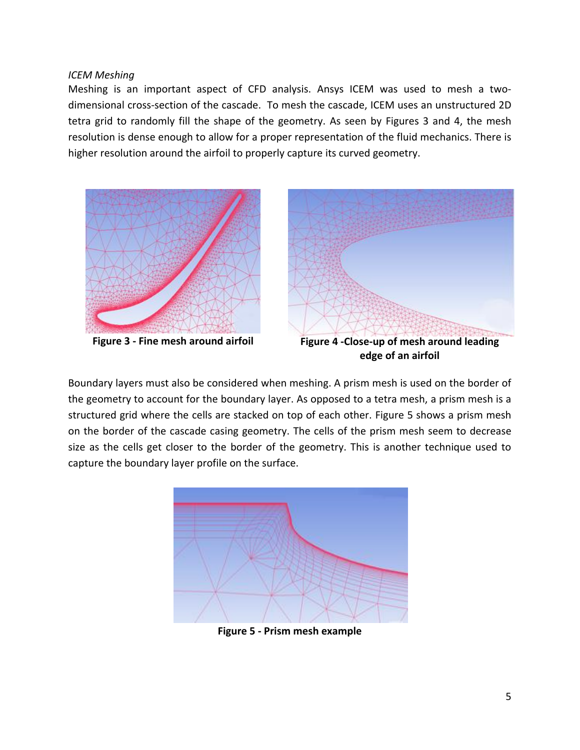<span id="page-4-0"></span>*ICEM Meshing*

Meshing is an important aspect of CFD analysis. Ansys ICEM was used to mesh a twodimensional cross-section of the cascade. To mesh the cascade, ICEM uses an unstructured 2D tetra grid to randomly fill the shape of the geometry. As seen by Figures 3 and 4, the mesh resolution is dense enough to allow for a proper representation of the fluid mechanics. There is higher resolution around the airfoil to properly capture its curved geometry.



**edge of an airfoil**

Boundary layers must also be considered when meshing. A prism mesh is used on the border of the geometry to account for the boundary layer. As opposed to a tetra mesh, a prism mesh is a structured grid where the cells are stacked on top of each other. Figure 5 shows a prism mesh on the border of the cascade casing geometry. The cells of the prism mesh seem to decrease size as the cells get closer to the border of the geometry. This is another technique used to capture the boundary layer profile on the surface.



**Figure 5 - Prism mesh example**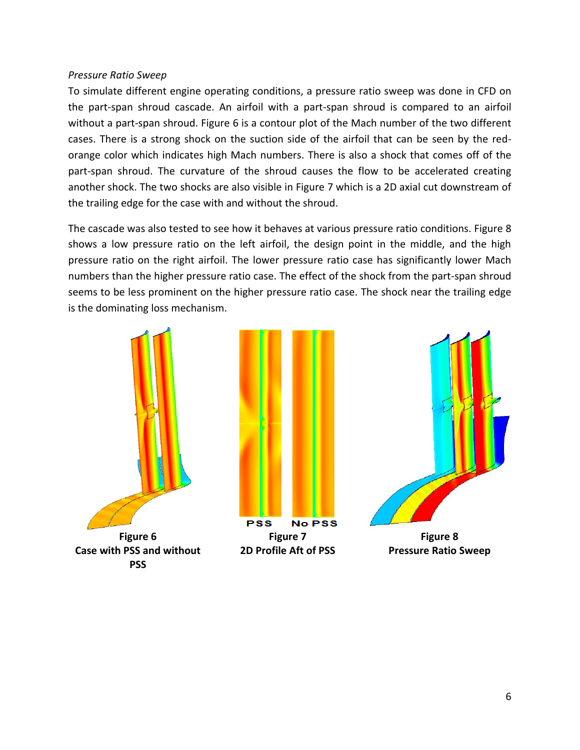## <span id="page-5-0"></span>*Pressure Ratio Sweep*

To simulate different engine operating conditions, a pressure ratio sweep was done in CFD on the part-span shroud cascade. An airfoil with a part-span shroud is compared to an airfoil without a part-span shroud. Figure 6 is a contour plot of the Mach number of the two different cases. There is a strong shock on the suction side of the airfoil that can be seen by the redorange color which indicates high Mach numbers. There is also a shock that comes off of the part-span shroud. The curvature of the shroud causes the flow to be accelerated creating another shock. The two shocks are also visible in Figure 7 which is a 2D axial cut downstream of the trailing edge for the case with and without the shroud.

The cascade was also tested to see how it behaves at various pressure ratio conditions. Figure 8 shows a low pressure ratio on the left airfoil, the design point in the middle, and the high pressure ratio on the right airfoil. The lower pressure ratio case has significantly lower Mach numbers than the higher pressure ratio case. The effect of the shock from the part-span shroud seems to be less prominent on the higher pressure ratio case. The shock near the trailing edge is the dominating loss mechanism.





**Pressure Ratio Sweep**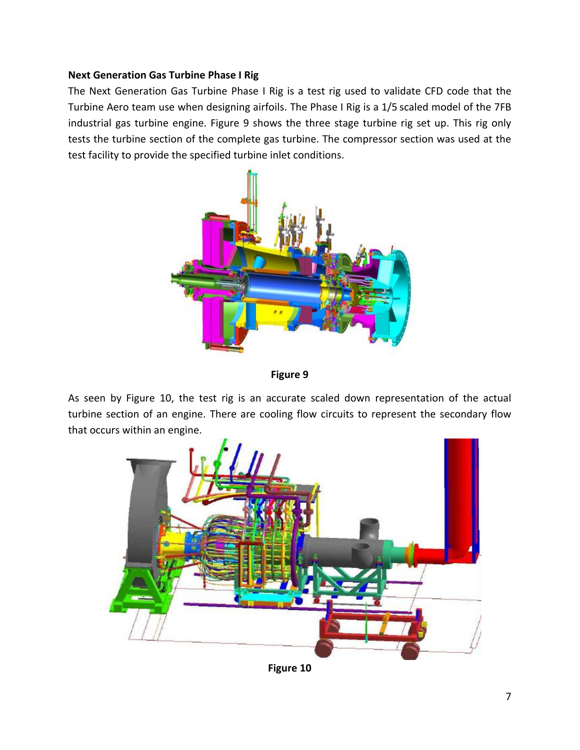# <span id="page-6-0"></span>**Next Generation Gas Turbine Phase I Rig**

The Next Generation Gas Turbine Phase I Rig is a test rig used to validate CFD code that the Turbine Aero team use when designing airfoils. The Phase I Rig is a 1/5 scaled model of the 7FB industrial gas turbine engine. Figure 9 shows the three stage turbine rig set up. This rig only tests the turbine section of the complete gas turbine. The compressor section was used at the test facility to provide the specified turbine inlet conditions.



**Figure 9**

As seen by Figure 10, the test rig is an accurate scaled down representation of the actual turbine section of an engine. There are cooling flow circuits to represent the secondary flow that occurs within an engine.



**Figure 10**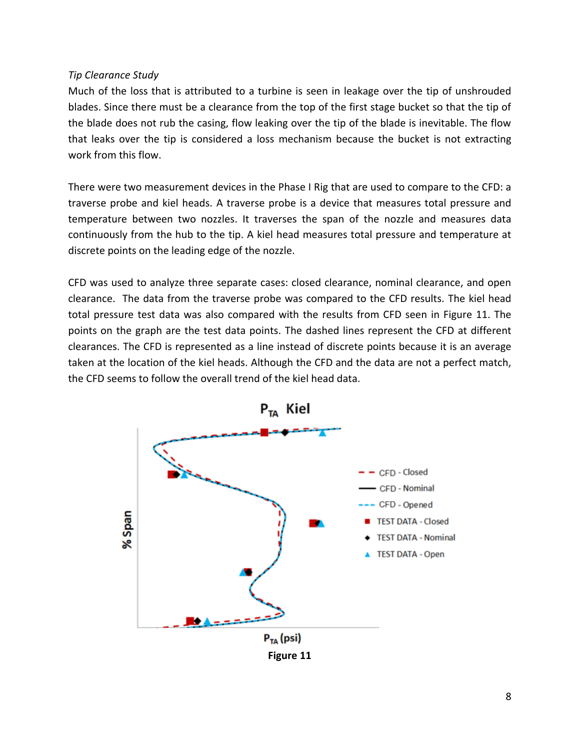## <span id="page-7-0"></span>*Tip Clearance Study*

Much of the loss that is attributed to a turbine is seen in leakage over the tip of unshrouded blades. Since there must be a clearance from the top of the first stage bucket so that the tip of the blade does not rub the casing, flow leaking over the tip of the blade is inevitable. The flow that leaks over the tip is considered a loss mechanism because the bucket is not extracting work from this flow.

There were two measurement devices in the Phase I Rig that are used to compare to the CFD: a traverse probe and kiel heads. A traverse probe is a device that measures total pressure and temperature between two nozzles. It traverses the span of the nozzle and measures data continuously from the hub to the tip. A kiel head measures total pressure and temperature at discrete points on the leading edge of the nozzle.

CFD was used to analyze three separate cases: closed clearance, nominal clearance, and open clearance. The data from the traverse probe was compared to the CFD results. The kiel head total pressure test data was also compared with the results from CFD seen in Figure 11. The points on the graph are the test data points. The dashed lines represent the CFD at different clearances. The CFD is represented as a line instead of discrete points because it is an average taken at the location of the kiel heads. Although the CFD and the data are not a perfect match, the CFD seems to follow the overall trend of the kiel head data.

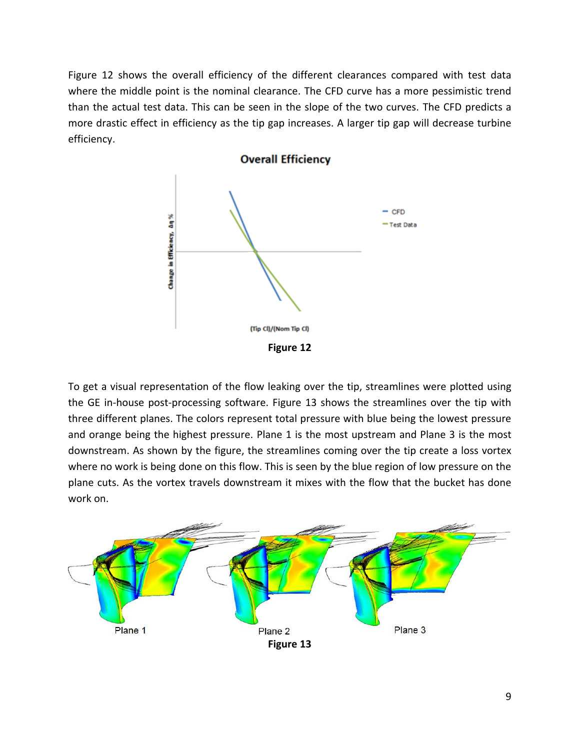Figure 12 shows the overall efficiency of the different clearances compared with test data where the middle point is the nominal clearance. The CFD curve has a more pessimistic trend than the actual test data. This can be seen in the slope of the two curves. The CFD predicts a more drastic effect in efficiency as the tip gap increases. A larger tip gap will decrease turbine efficiency.



To get a visual representation of the flow leaking over the tip, streamlines were plotted using the GE in-house post-processing software. Figure 13 shows the streamlines over the tip with three different planes. The colors represent total pressure with blue being the lowest pressure and orange being the highest pressure. Plane 1 is the most upstream and Plane 3 is the most downstream. As shown by the figure, the streamlines coming over the tip create a loss vortex where no work is being done on this flow. This is seen by the blue region of low pressure on the plane cuts. As the vortex travels downstream it mixes with the flow that the bucket has done work on.

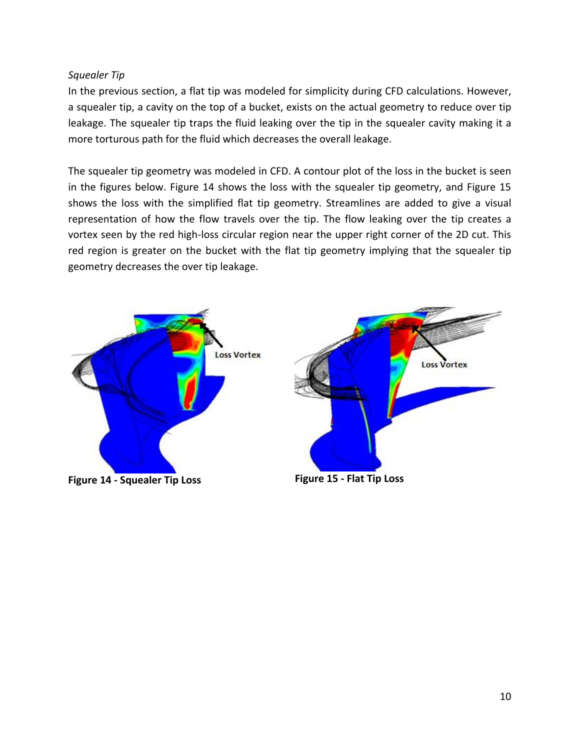# <span id="page-9-0"></span>*Squealer Tip*

In the previous section, a flat tip was modeled for simplicity during CFD calculations. However, a squealer tip, a cavity on the top of a bucket, exists on the actual geometry to reduce over tip leakage. The squealer tip traps the fluid leaking over the tip in the squealer cavity making it a more torturous path for the fluid which decreases the overall leakage.

The squealer tip geometry was modeled in CFD. A contour plot of the loss in the bucket is seen in the figures below. Figure 14 shows the loss with the squealer tip geometry, and Figure 15 shows the loss with the simplified flat tip geometry. Streamlines are added to give a visual representation of how the flow travels over the tip. The flow leaking over the tip creates a vortex seen by the red high-loss circular region near the upper right corner of the 2D cut. This red region is greater on the bucket with the flat tip geometry implying that the squealer tip geometry decreases the over tip leakage.



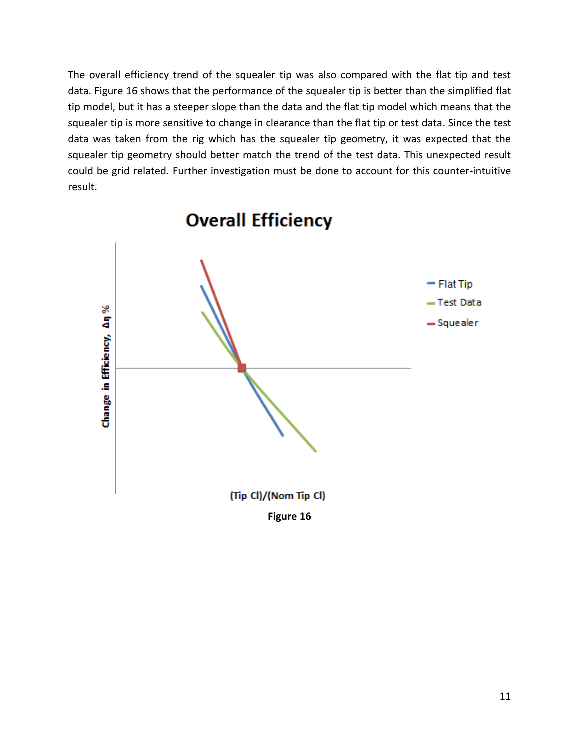The overall efficiency trend of the squealer tip was also compared with the flat tip and test data. Figure 16 shows that the performance of the squealer tip is better than the simplified flat tip model, but it has a steeper slope than the data and the flat tip model which means that the squealer tip is more sensitive to change in clearance than the flat tip or test data. Since the test data was taken from the rig which has the squealer tip geometry, it was expected that the squealer tip geometry should better match the trend of the test data. This unexpected result could be grid related. Further investigation must be done to account for this counter-intuitive result.

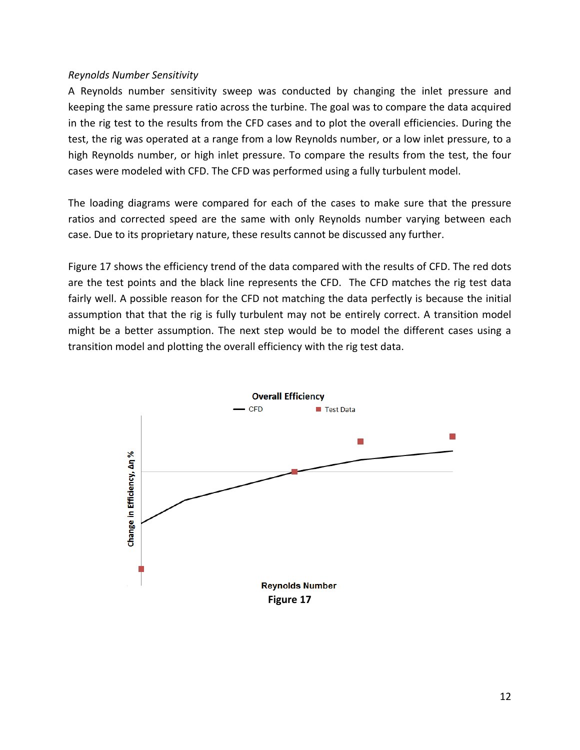## <span id="page-11-0"></span>*Reynolds Number Sensitivity*

A Reynolds number sensitivity sweep was conducted by changing the inlet pressure and keeping the same pressure ratio across the turbine. The goal was to compare the data acquired in the rig test to the results from the CFD cases and to plot the overall efficiencies. During the test, the rig was operated at a range from a low Reynolds number, or a low inlet pressure, to a high Reynolds number, or high inlet pressure. To compare the results from the test, the four cases were modeled with CFD. The CFD was performed using a fully turbulent model.

The loading diagrams were compared for each of the cases to make sure that the pressure ratios and corrected speed are the same with only Reynolds number varying between each case. Due to its proprietary nature, these results cannot be discussed any further.

Figure 17 shows the efficiency trend of the data compared with the results of CFD. The red dots are the test points and the black line represents the CFD. The CFD matches the rig test data fairly well. A possible reason for the CFD not matching the data perfectly is because the initial assumption that that the rig is fully turbulent may not be entirely correct. A transition model might be a better assumption. The next step would be to model the different cases using a transition model and plotting the overall efficiency with the rig test data.

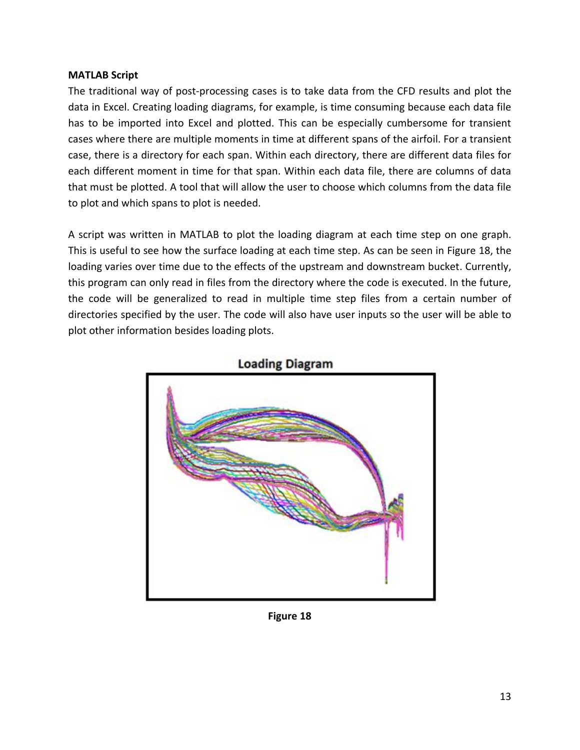# <span id="page-12-0"></span>**MATLAB Script**

The traditional way of post-processing cases is to take data from the CFD results and plot the data in Excel. Creating loading diagrams, for example, is time consuming because each data file has to be imported into Excel and plotted. This can be especially cumbersome for transient cases where there are multiple moments in time at different spans of the airfoil. For a transient case, there is a directory for each span. Within each directory, there are different data files for each different moment in time for that span. Within each data file, there are columns of data that must be plotted. A tool that will allow the user to choose which columns from the data file to plot and which spans to plot is needed.

A script was written in MATLAB to plot the loading diagram at each time step on one graph. This is useful to see how the surface loading at each time step. As can be seen in Figure 18, the loading varies over time due to the effects of the upstream and downstream bucket. Currently, this program can only read in files from the directory where the code is executed. In the future, the code will be generalized to read in multiple time step files from a certain number of directories specified by the user. The code will also have user inputs so the user will be able to plot other information besides loading plots.





**Figure 18**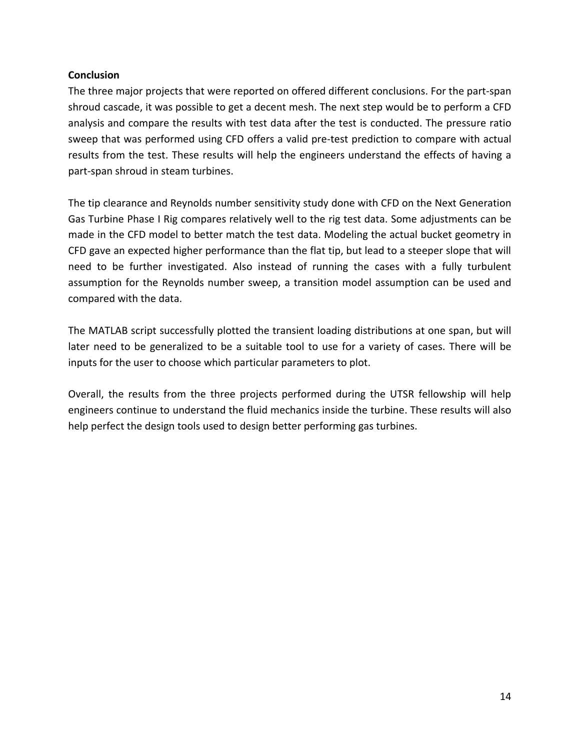# <span id="page-13-0"></span>**Conclusion**

The three major projects that were reported on offered different conclusions. For the part-span shroud cascade, it was possible to get a decent mesh. The next step would be to perform a CFD analysis and compare the results with test data after the test is conducted. The pressure ratio sweep that was performed using CFD offers a valid pre-test prediction to compare with actual results from the test. These results will help the engineers understand the effects of having a part-span shroud in steam turbines.

The tip clearance and Reynolds number sensitivity study done with CFD on the Next Generation Gas Turbine Phase I Rig compares relatively well to the rig test data. Some adjustments can be made in the CFD model to better match the test data. Modeling the actual bucket geometry in CFD gave an expected higher performance than the flat tip, but lead to a steeper slope that will need to be further investigated. Also instead of running the cases with a fully turbulent assumption for the Reynolds number sweep, a transition model assumption can be used and compared with the data.

The MATLAB script successfully plotted the transient loading distributions at one span, but will later need to be generalized to be a suitable tool to use for a variety of cases. There will be inputs for the user to choose which particular parameters to plot.

Overall, the results from the three projects performed during the UTSR fellowship will help engineers continue to understand the fluid mechanics inside the turbine. These results will also help perfect the design tools used to design better performing gas turbines.